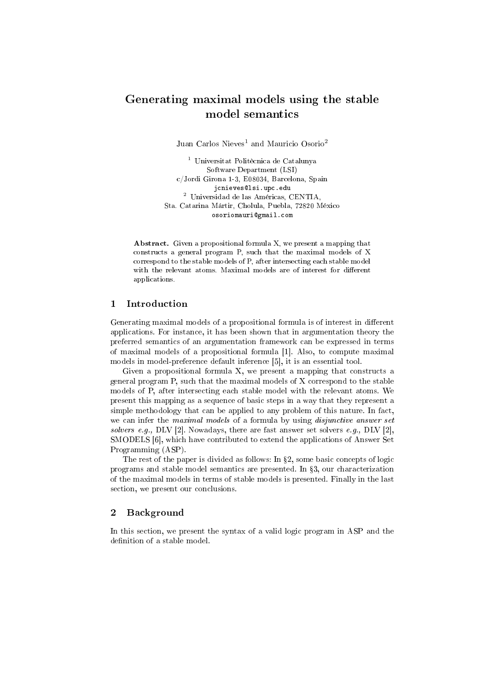# Generating maximal models using the stable model semantics

Juan Carlos Nieves<sup>1</sup> and Mauricio Osorio<sup>2</sup>

<sup>1</sup> Universitat Politècnica de Catalunya Software Department (LSI) c/Jordi Girona 1-3, E08034, Barcelona, Spain jcnieves@lsi.upc.edu <sup>2</sup> Universidad de las Américas, CENTIA, Sta. Catarina Mártir, Cholula, Puebla, 72820 México osoriomauri@gmail.com

Abstract. Given a propositional formula X, we present a mapping that constructs a general program P, such that the maximal models of X correspond to the stable models of P, after intersecting each stable model with the relevant atoms. Maximal models are of interest for different applications.

## 1 Introduction

Generating maximal models of a propositional formula is of interest in different applications. For instance, it has been shown that in argumentation theory the preferred semantics of an argumentation framework can be expressed in terms of maximal models of a propositional formula [1]. Also, to compute maximal models in model-preference default inference [5], it is an essential tool.

Given a propositional formula X, we present a mapping that constructs a general program P, such that the maximal models of X correspond to the stable models of P, after intersecting each stable model with the relevant atoms. We present this mapping as a sequence of basic steps in a way that they represent a simple methodology that can be applied to any problem of this nature. In fact, we can infer the maximal models of a formula by using *disjunctive answer set* solvers e.g., DLV [2]. Nowadays, there are fast answer set solvers e.g., DLV [2], SMODELS [6], which have contributed to extend the applications of Answer Set Programming (ASP).

The rest of the paper is divided as follows: In  $\S 2$ , some basic concepts of logic programs and stable model semantics are presented. In  $\S3$ , our characterization of the maximal models in terms of stable models is presented. Finally in the last section, we present our conclusions.

#### 2 Background

In this section, we present the syntax of a valid logic program in ASP and the definition of a stable model.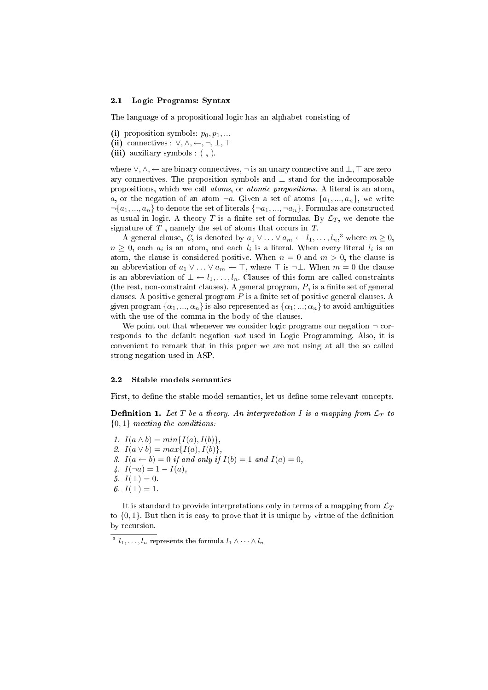#### 2.1 Logic Programs: Syntax

The language of a propositional logic has an alphabet consisting of

- (i) proposition symbols:  $p_0, p_1, \ldots$
- (ii) connectives :  $\vee, \wedge, \leftarrow, \neg, \bot, \top$
- (iii) auxiliary symbols : ( , ).

where  $\vee, \wedge, \leftarrow$  are binary connectives,  $\neg$  is an unary connective and  $\bot$ ,  $\top$  are zeroary connectives. The proposition symbols and  $\perp$  stand for the indecomposable propositions, which we call atoms, or atomic propositions. A literal is an atom, a, or the negation of an atom  $\neg a$ . Given a set of atoms  $\{a_1, ..., a_n\}$ , we write  $\neg \{a_1, ..., a_n\}$  to denote the set of literals  $\{\neg a_1, ..., \neg a_n\}$ . Formulas are constructed as usual in logic. A theory T is a finite set of formulas. By  $\mathcal{L}_T$ , we denote the signature of  $T$ , namely the set of atoms that occurs in  $T$ .

A general clause, C, is denoted by  $a_1 \vee \ldots \vee a_m \leftarrow l_1, \ldots, l_n, \, 3$  where  $m \geq 0$ ,  $n \geq 0$ , each  $a_i$  is an atom, and each  $l_i$  is a literal. When every literal  $l_i$  is an atom, the clause is considered positive. When  $n = 0$  and  $m > 0$ , the clause is an abbreviation of  $a_1 \vee \ldots \vee a_m \leftarrow \top$ , where  $\top$  is  $\neg \bot$ . When  $m = 0$  the clause is an abbreviation of  $\bot \leftarrow l_1, \ldots, l_n$ . Clauses of this form are called constraints (the rest, non-constraint clauses). A general program,  $P$ , is a finite set of general clauses. A positive general program  $P$  is a finite set of positive general clauses. A given program  $\{\alpha_1, ..., \alpha_n\}$  is also represented as  $\{\alpha_1, ..., \alpha_n\}$  to avoid ambiguities with the use of the comma in the body of the clauses.

We point out that whenever we consider logic programs our negation  $\neg$  corresponds to the default negation not used in Logic Programming. Also, it is convenient to remark that in this paper we are not using at all the so called strong negation used in ASP.

### 2.2 Stable models semantics

First, to define the stable model semantics, let us define some relevant concepts.

**Definition 1.** Let T be a theory. An interpretation I is a mapping from  $\mathcal{L}_T$  to  ${0,1}$  meeting the conditions:

- 1.  $I(a \wedge b) = min{I(a), I(b)},$ 2.  $I(a \vee b) = max\{I(a), I(b)\},\$
- 3.  $I(a \leftarrow b) = 0$  if and only if  $I(b) = 1$  and  $I(a) = 0$ ,
- 4.  $I(\neg a) = 1 I(a)$ ,
- 5.  $I(\perp) = 0$ .
- 6.  $I(\top) = 1$ .

It is standard to provide interpretations only in terms of a mapping from  $\mathcal{L}_T$ to  $\{0, 1\}$ . But then it is easy to prove that it is unique by virtue of the definition by recursion.

<sup>&</sup>lt;sup>3</sup>  $l_1, \ldots, l_n$  represents the formula  $l_1 \wedge \cdots \wedge l_n$ .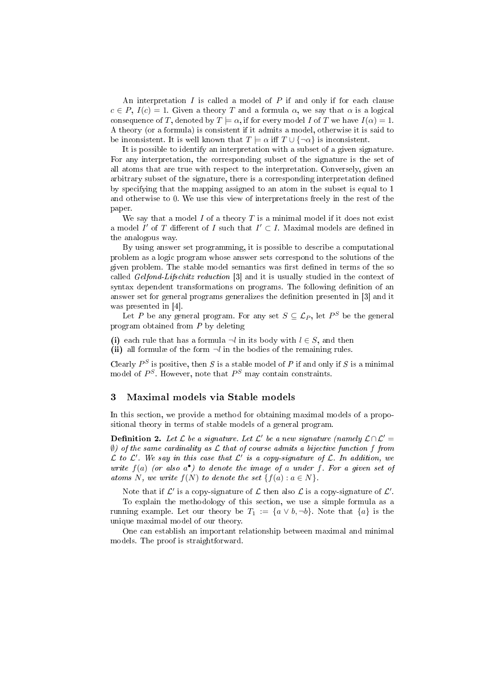An interpretation  $I$  is called a model of  $P$  if and only if for each clause  $c \in P$ ,  $I(c) = 1$ . Given a theory T and a formula  $\alpha$ , we say that  $\alpha$  is a logical consequence of T, denoted by  $T \models \alpha$ , if for every model I of T we have  $I(\alpha) = 1$ . A theory (or a formula) is consistent if it admits a model, otherwise it is said to be inconsistent. It is well known that  $T \models \alpha$  iff  $T \cup \{\neg \alpha\}$  is inconsistent.

It is possible to identify an interpretation with a subset of a given signature. For any interpretation, the corresponding subset of the signature is the set of all atoms that are true with respect to the interpretation. Conversely, given an arbitrary subset of the signature, there is a corresponding interpretation dened by specifying that the mapping assigned to an atom in the subset is equal to 1 and otherwise to 0. We use this view of interpretations freely in the rest of the paper.

We say that a model  $I$  of a theory  $T$  is a minimal model if it does not exist a model  $I'$  of  $T$  different of  $I$  such that  $I' \subset I$ . Maximal models are defined in the analogous way.

By using answer set programming, it is possible to describe a computational problem as a logic program whose answer sets correspond to the solutions of the given problem. The stable model semantics was first defined in terms of the so called Gelfond-Lifschitz reduction [3] and it is usually studied in the context of syntax dependent transformations on programs. The following definition of an answer set for general programs generalizes the definition presented in [3] and it was presented in [4].

Let P be any general program. For any set  $S \subseteq \mathcal{L}_P$ , let  $P^S$  be the general program obtained from  $P$  by deleting

(i) each rule that has a formula  $\neg l$  in its body with  $l \in S$ , and then (ii) all formulæ of the form  $\neg l$  in the bodies of the remaining rules.

Clearly  $P^S$  is positive, then S is a stable model of P if and only if S is a minimal model of  $P^S$ . However, note that  $P^S$  may contain constraints.

#### 3 Maximal models via Stable models

In this section, we provide a method for obtaining maximal models of a propositional theory in terms of stable models of a general program.

**Definition 2.** Let  $\mathcal L$  be a signature. Let  $\mathcal L'$  be a new signature (namely  $\mathcal L \cap \mathcal L' = \emptyset$  $\emptyset$ ) of the same cardinality as  $\mathcal L$  that of course admits a bijective function f from  $\mathcal L$  to  $\mathcal L'$ . We say in this case that  $\mathcal L'$  is a copy-signature of  $\mathcal L$ . In addition, we write  $f(a)$  (or also  $a^{\bullet}$ ) to denote the image of a under f. For a given set of atoms N, we write  $f(N)$  to denote the set  $\{f(a) : a \in N\}.$ 

Note that if  $\mathcal{L}'$  is a copy-signature of  $\mathcal L$  then also  $\mathcal L$  is a copy-signature of  $\mathcal L'.$ To explain the methodology of this section, we use a simple formula as a running example. Let our theory be  $T_1 := \{a \lor b, \neg b\}$ . Note that  $\{a\}$  is the unique maximal model of our theory.

One can establish an important relationship between maximal and minimal models. The proof is straightforward.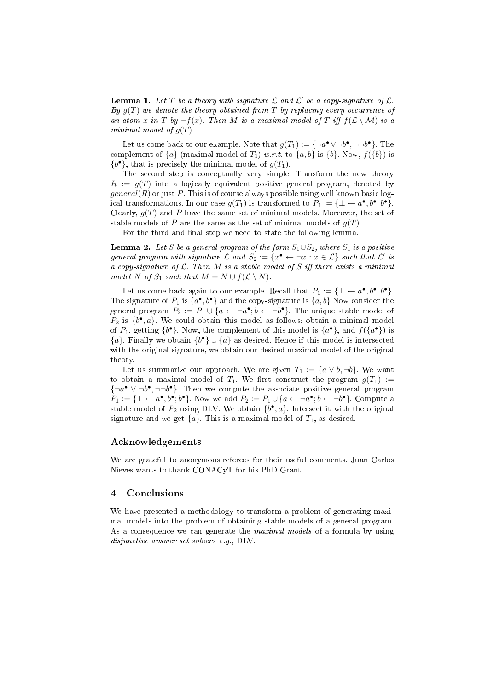**Lemma 1.** Let T be a theory with signature L and L' be a copy-signature of L. By  $g(T)$  we denote the theory obtained from T by replacing every occurrence of an atom x in T by  $\neg f(x)$ . Then M is a maximal model of T iff  $f(\mathcal{L} \setminus \mathcal{M})$  is a minimal model of  $g(T)$ .

Let us come back to our example. Note that  $g(T_1) := \{\neg a^{\bullet} \lor \neg b^{\bullet}, \neg \neg b^{\bullet}\}.$  The complement of  $\{a\}$  (maximal model of  $T_1$ ) w.r.t. to  $\{a, b\}$  is  $\{b\}$ . Now,  $f(\{b\})$  is  $\{b^{\bullet}\}\$ , that is precisely the minimal model of  $g(T_1)$ .

The second step is conceptually very simple. Transform the new theory  $R := q(T)$  into a logically equivalent positive general program, denoted by  $general(R)$  or just P. This is of course always possible using well known basic logical transformations. In our case  $g(T_1)$  is transformed to  $P_1 := \{\perp \leftarrow a^{\bullet}, b^{\bullet}; b^{\bullet}\}.$ Clearly,  $g(T)$  and P have the same set of minimal models. Moreover, the set of stable models of P are the same as the set of minimal models of  $q(T)$ .

For the third and final step we need to state the following lemma.

**Lemma 2.** Let S be a general program of the form  $S_1 \cup S_2$ , where  $S_1$  is a positive general program with signature  $\mathcal L$  and  $S_2:=\{x^\bullet \leftarrow \neg x : x \in \mathcal L\}$  such that  $\mathcal L'$  is a copy-signature of  $\mathcal L$ . Then M is a stable model of S iff there exists a minimal model N of  $S_1$  such that  $M = N \cup f(\mathcal{L} \setminus N)$ .

Let us come back again to our example. Recall that  $P_1 := \{\perp \leftarrow a^{\bullet}, b^{\bullet}; b^{\bullet}\}.$ The signature of  $P_1$  is  $\{a^{\bullet}, b^{\bullet}\}$  and the copy-signature is  $\{a, b\}$  Now consider the general program  $P_2 := P_1 \cup \{a \leftarrow \neg a^{\bullet}; b \leftarrow \neg b^{\bullet}\}.$  The unique stable model of  $P_2$  is  $\{b^{\bullet}, a\}$ . We could obtain this model as follows: obtain a minimal model of  $P_1$ , getting  $\{b^{\bullet}\}\$ . Now, the complement of this model is  $\{a^{\bullet}\}\$ , and  $f(\{a^{\bullet}\})$  is  ${a}$ . Finally we obtain  ${b^{\bullet}} \cup {a}$  as desired. Hence if this model is intersected with the original signature, we obtain our desired maximal model of the original theory.

Let us summarize our approach. We are given  $T_1 := \{a \vee b, \neg b\}$ . We want to obtain a maximal model of  $T_1$ . We first construct the program  $g(T_1) :=$  $\{\neg a^{\bullet} \lor \neg b^{\bullet}, \neg \neg b^{\bullet}\}.$  Then we compute the associate positive general program  $P_1 := \{\perp \leftarrow a^{\bullet}, b^{\bullet}; b^{\bullet}\}.$  Now we add  $P_2 := P_1 \cup \{a \leftarrow \neg a^{\bullet}; b \leftarrow \neg b^{\bullet}\}.$  Compute a stable model of  $P_2$  using DLV. We obtain  $\{b^{\bullet}, a\}$ . Intersect it with the original signature and we get  $\{a\}$ . This is a maximal model of  $T_1$ , as desired.

## Acknowledgements

We are grateful to anonymous referees for their useful comments. Juan Carlos Nieves wants to thank CONACyT for his PhD Grant.

### 4 Conclusions

We have presented a methodology to transform a problem of generating maximal models into the problem of obtaining stable models of a general program. As a consequence we can generate the *maximal models* of a formula by using disjunctive answer set solvers e.g., DLV.